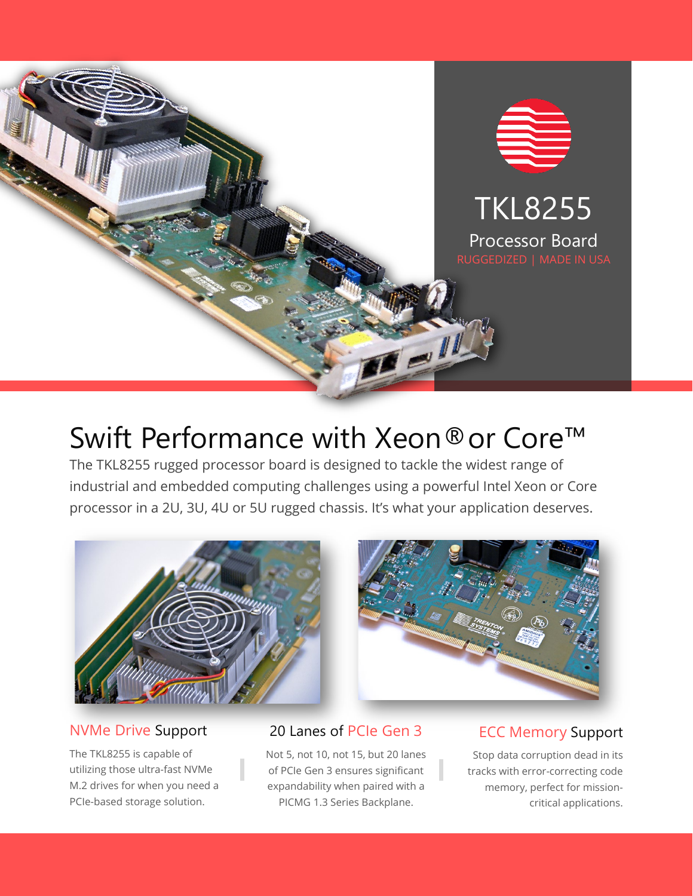

# Swift Performance with Xeon®or Core™

The TKL8255 rugged processor board is designed to tackle the widest range of industrial and embedded computing challenges using a powerful Intel Xeon or Core processor in a 2U, 3U, 4U or 5U rugged chassis. It's what your application deserves.





## NVMe Drive Support

The TKL8255 is capable of utilizing those ultra-fast NVMe M.2 drives for when you need a PCIe-based storage solution.

## 20 Lanes of PCIe Gen 3

Not 5, not 10, not 15, but 20 lanes of PCIe Gen 3 ensures significant expandability when paired with a PICMG 1.3 Series Backplane.

# ECC Memory Support

Stop data corruption dead in its tracks with error-correcting code memory, perfect for missioncritical applications.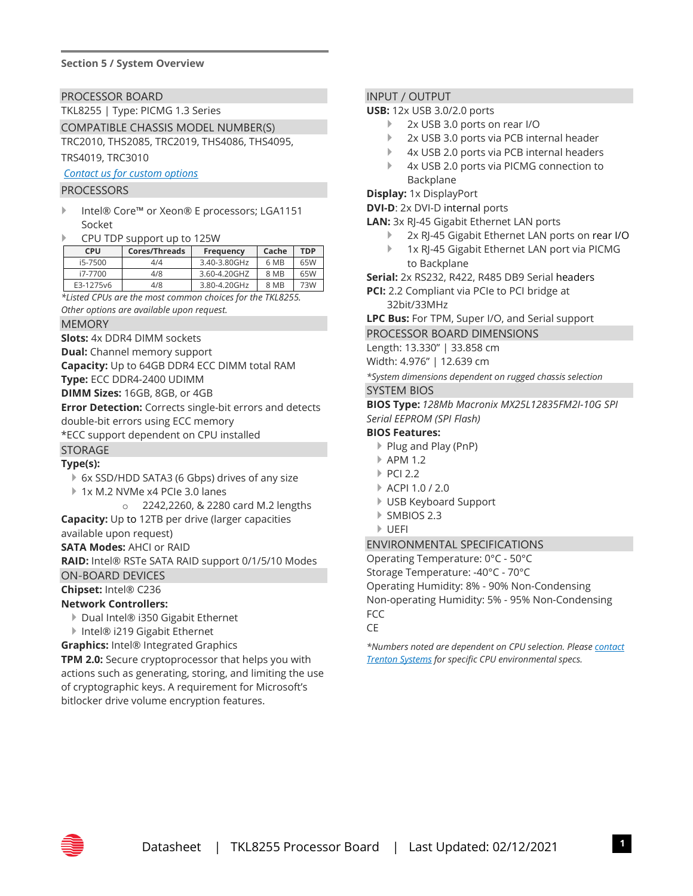#### **Section 5 / System Overview**

PROCESSOR BOARD

TKL8255 | Type: PICMG 1.3 Series

COMPATIBLE CHASSIS MODEL NUMBER(S) TRC2010, THS2085, TRC2019, THS4086, THS4095, TRS4019, TRC3010

*[Contact us for custom options](mailto:sales@trentonsystems.com?subject=SSP8268%20Custom%20Rugged%20Chassis)*

#### PROCESSORS

- Intel® Core™ or Xeon® E processors; LGA1151 Socket
- CPU TDP support up to 125W

| CPU       | Cores/Threads | Frequency    | Cache | <b>TDP</b> |
|-----------|---------------|--------------|-------|------------|
| i5-7500   | 4/4           | 3.40-3.80GHz | 6 MB  | 65W        |
| i7-7700   | 4/8           | 3.60-4.20GHZ | 8 MB  | 65W        |
| E3-1275v6 | 4/8           | 3.80-4.20GHz | 8 MB  | 73W        |

*\*Listed CPUs are the most common choices for the TKL8255. Other options are available upon request.*

MEMORY

**Slots:** 4x DDR4 DIMM sockets

**Dual:** Channel memory support

**Capacity:** Up to 64GB DDR4 ECC DIMM total RAM

**Type:** ECC DDR4-2400 UDIMM

**DIMM Sizes:** 16GB, 8GB, or 4GB

**Error Detection:** Corrects single-bit errors and detects double-bit errors using ECC memory

\*ECC support dependent on CPU installed

## STORAGE

#### **Type(s):**

- 6x SSD/HDD SATA3 (6 Gbps) drives of any size
- 1x M.2 NVMe x4 PCIe 3.0 lanes
	- o 2242,2260, & 2280 card M.2 lengths
- **Capacity:** Up to 12TB per drive (larger capacities available upon request)

#### **SATA Modes:** AHCI or RAID

**RAID:** Intel® RSTe SATA RAID support 0/1/5/10 Modes

ON-BOARD DEVICES

**Chipset:** Intel® C236

#### **Network Controllers:**

- ▶ Dual Intel® i350 Gigabit Ethernet
- Intel® i219 Gigabit Ethernet
- **Graphics:** Intel® Integrated Graphics

**TPM 2.0:** Secure cryptoprocessor that helps you with actions such as generating, storing, and limiting the use of cryptographic keys. A requirement for Microsoft's bitlocker drive volume encryption features.

#### INPUT / OUTPUT

#### **USB:** 12x USB 3.0/2.0 ports

- ▶ 2x USB 3.0 ports on rear I/O
- ▶ 2x USB 3.0 ports via PCB internal header
- 4x USB 2.0 ports via PCB internal headers
- 4x USB 2.0 ports via PICMG connection to Backplane

**Display:** 1x DisplayPort

**DVI-D**: 2x DVI-D internal ports

- **LAN:** 3x RJ-45 Gigabit Ethernet LAN ports
	- ▶ 2x RJ-45 Gigabit Ethernet LAN ports on rear I/O
	- 1x RJ-45 Gigabit Ethernet LAN port via PICMG to Backplane

**Serial:** 2x RS232, R422, R485 DB9 Serial headers

**PCI:** 2.2 Compliant via PCIe to PCI bridge at 32bit/33MHz

**LPC Bus:** For TPM, Super I/O, and Serial support

PROCESSOR BOARD DIMENSIONS

Length: 13.330" | 33.858 cm

Width: 4.976" | 12.639 cm

*\*System dimensions dependent on rugged chassis selection* SYSTEM BIOS

#### **BIOS Type:** *128Mb Macronix MX25L12835FM2I-10G SPI Serial EEPROM (SPI Flash)*

#### **BIOS Features:**

- ▶ Plug and Play (PnP)
- APM 1.2
- $\triangleright$  PCI 2.2
- ACPI 1.0 / 2.0
- USB Keyboard Support
- ▶ SMBIOS 2.3
- UEFI

ENVIRONMENTAL SPECIFICATIONS

Operating Temperature: 0°C - 50°C Storage Temperature: -40°C - 70°C Operating Humidity: 8% - 90% Non-Condensing Non-operating Humidity: 5% - 95% Non-Condensing **FCC** 

CE

*\*Numbers noted are dependent on CPU selection. Pleas[e contact](mailto:sales@trentonsystems.com?subject=SSP8268%20CPU%20Environmentals%20Question)  [Trenton Systems](mailto:sales@trentonsystems.com?subject=SSP8268%20CPU%20Environmentals%20Question) for specific CPU environmental specs.*

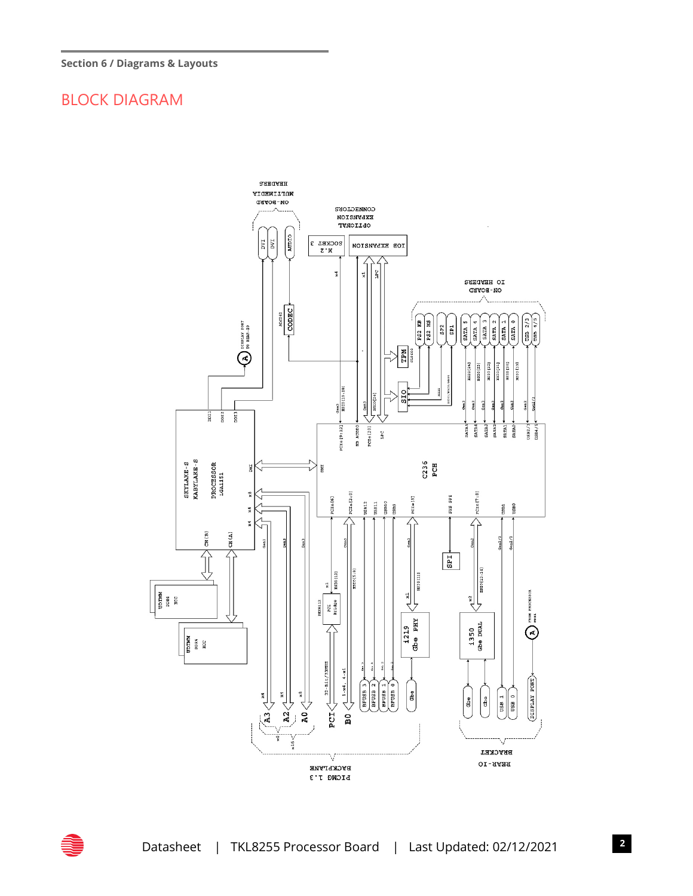# BLOCK DIAGRAM



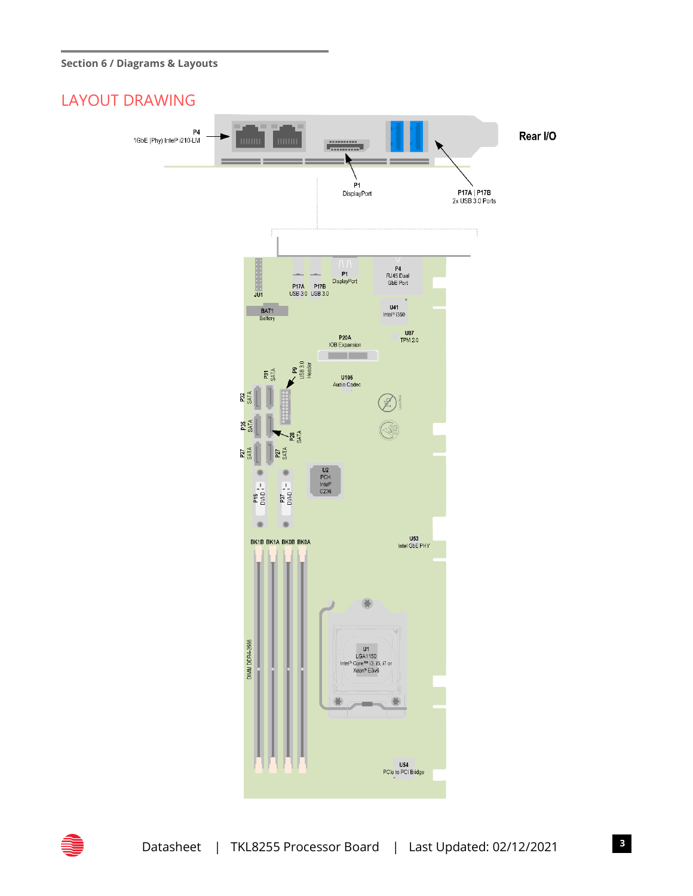#### **Section 6 / Diagrams & Layouts**

## LAYOUT DRAWING